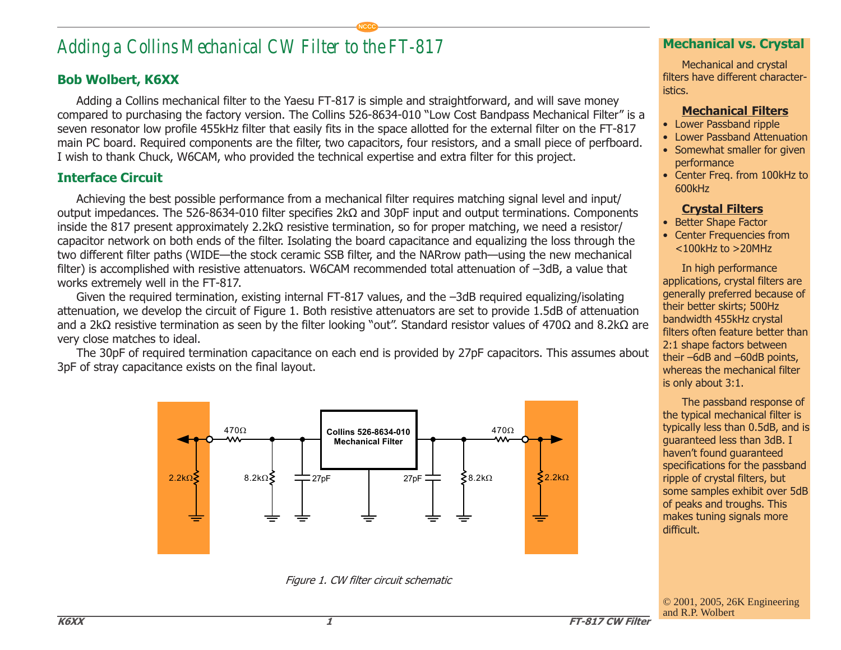# *Adding a Collins Mechanical CW Filter to the FT-817*

## Bob Wolbert, K6XX

Adding a Collins mechanical filter to the Yaesu FT-817 is simple and straightforward, and will save money compared to purchasing the factory version. The Collins 526-8634-010 "Low Cost Bandpass Mechanical Filter" is a seven resonator low profile 455kHz filter that easily fits in the space allotted for the external filter on the FT-817 main PC board. Required components are the filter, two capacitors, four resistors, and a small piece of perfboard. I wish to thank Chuck, W6CAM, who provided the technical expertise and extra filter for this project.

**NCCC**

## Interface Circuit

Achieving the best possible performance from a mechanical filter requires matching signal level and input/ output impedances. The 526-8634-010 filter specifies 2kΩ and 30pF input and output terminations. Components inside the 817 present approximately 2.2kΩ resistive termination, so for proper matching, we need a resistor/ capacitor network on both ends of the filter. Isolating the board capacitance and equalizing the loss through the two different filter paths (WIDE-the stock ceramic SSB filter, and the NARrow path-using the new mechanical filter) is accomplished with resistive attenuators. W6CAM recommended total attenuation of -3dB, a value that works extremely well in the FT-817.

Given the required termination, existing internal FT-817 values, and the -3dB required equalizing/isolating attenuation, we develop the circuit of Figure 1. Both resistive attenuators are set to provide 1.5dB of attenuation and a 2kΩ resistive termination as seen by the filter looking "out". Standard resistor values of 470Ω and 8.2kΩ are very close matches to ideal.

The 30pF of required termination capacitance on each end is provided by 27pF capacitors. This assumes about 3pF of stray capacitance exists on the final layout.



Figure 1. CW filter circuit schematic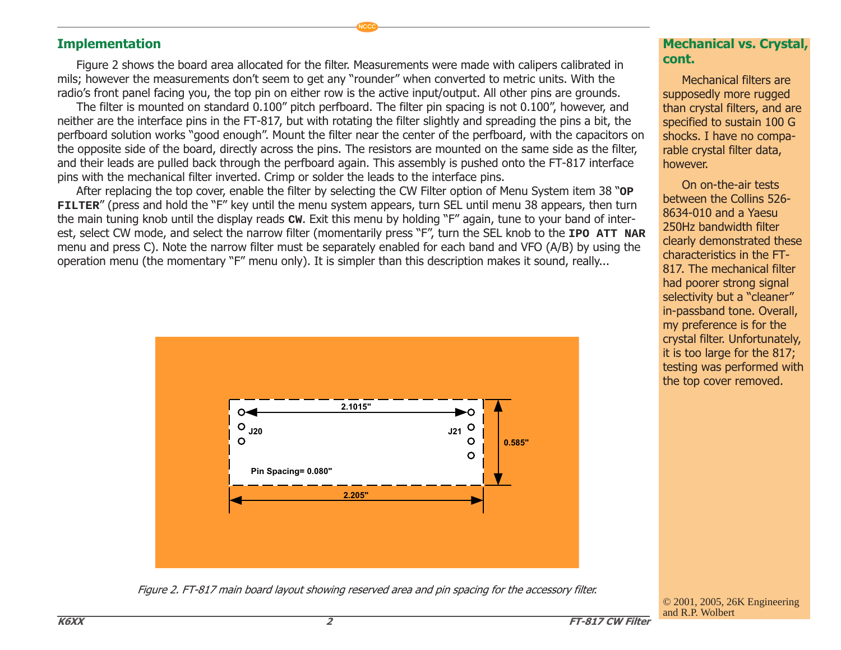### Implementation

Figure 2 shows the board area allocated for the filter. Measurements were made with calipers calibrated in mils; however the measurements don't seem to get any "rounder" when converted to metric units. With the radio's front panel facing you, the top pin on either row is the active input/output. All other pins are grounds.

**NCCC**

The filter is mounted on standard 0.100" pitch perfboard. The filter pin spacing is not 0.100", however, and neither are the interface pins in the FT-817, but with rotating the filter slightly and spreading the pins a bit, the perfboard solution works "good enough". Mount the filter near the center of the perfboard, with the capacitors on the opposite side of the board, directly across the pins. The resistors are mounted on the same side as the filter, and their leads are pulled back through the perfboard again. This assembly is pushed onto the FT-817 interface pins with the mechanical filter inverted. Crimp or solder the leads to the interface pins.

After replacing the top cover, enable the filter by selecting the CW Filter option of Menu System item 38 "OP **FILTER**" (press and hold the "F" key until the menu system appears, turn SEL until menu 38 appears, then turn the main tuning knob until the display reads cw. Exit this menu by holding "F" again, tune to your band of interest, select CW mode, and select the narrow filter (momentarily press "F", turn the SEL knob to the **IPO ATT NAR** menu and press C). Note the narrow filter must be separately enabled for each band and VFO (A/B) by using the operation menu (the momentary "F" menu only). It is simpler than this description makes it sound, really...



Figure 2. FT-817 main board layout showing reserved area and pin spacing for the accessory filter.

#### Mechanical vs. Crystal, cont.

Mechanical filters are supposedly more rugged than crystal filters, and are specified to sustain 100 G shocks. I have no comparable crystal filter data, however.

On on-the-air tests between the Collins 526- 8634-010 and a Yaesu 250Hz bandwidth filter clearly demonstrated these characteristics in the FT-817. The mechanical filter had poorer strong signal selectivity but a "cleaner" in-passband tone. Overall, my preference is for the crystal filter. Unfortunately, it is too large for the 817; testing was performed with the top cover removed.

© 2001, 2005, 26K Engineering and R.P. Wolbert